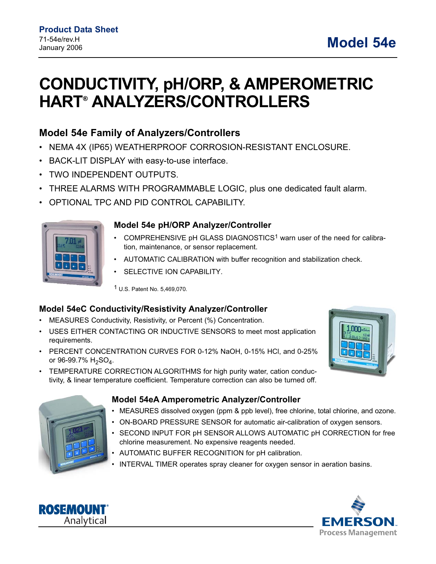# **CONDUCTIVITY, pH/ORP, & AMPEROMETRIC HART**® **ANALYZERS/CONTROLLERS**

# **Model 54e Family of Analyzers/Controllers**

- NEMA 4X (IP65) WEATHERPROOF CORROSION-RESISTANT ENCLOSURE.
- BACK-LIT DISPLAY with easy-to-use interface.
- TWO INDEPENDENT OUTPUTS.
- THREE ALARMS WITH PROGRAMMABLE LOGIC, plus one dedicated fault alarm.
- OPTIONAL TPC AND PID CONTROL CAPABILITY.



#### **Model 54e pH/ORP Analyzer/Controller**

- COMPREHENSIVE pH GLASS DIAGNOSTICS1 warn user of the need for calibration, maintenance, or sensor replacement.
- AUTOMATIC CALIBRATION with buffer recognition and stabilization check.
- SELECTIVE ION CAPABILITY.

1 U.S. Patent No. 5,469,070.

### **Model 54eC Conductivity/Resistivity Analyzer/Controller**

- MEASURES Conductivity, Resistivity, or Percent (%) Concentration.
- USES EITHER CONTACTING OR INDUCTIVE SENSORS to meet most application requirements.
- PERCENT CONCENTRATION CURVES FOR 0-12% NaOH, 0-15% HCl, and 0-25% or 96-99.7%  $H_2SO_4$ .
- TEMPERATURE CORRECTION ALGORITHMS for high purity water, cation conductivity, & linear temperature coefficient. Temperature correction can also be turned off.





### **Model 54eA Amperometric Analyzer/Controller**

- MEASURES dissolved oxygen (ppm & ppb level), free chlorine, total chlorine, and ozone.
- ON-BOARD PRESSURE SENSOR for automatic air-calibration of oxygen sensors.
- SECOND INPUT FOR pH SENSOR ALLOWS AUTOMATIC pH CORRECTION for free chlorine measurement. No expensive reagents needed.
- AUTOMATIC BUFFER RECOGNITION for pH calibration.
- INTERVAL TIMER operates spray cleaner for oxygen sensor in aeration basins.



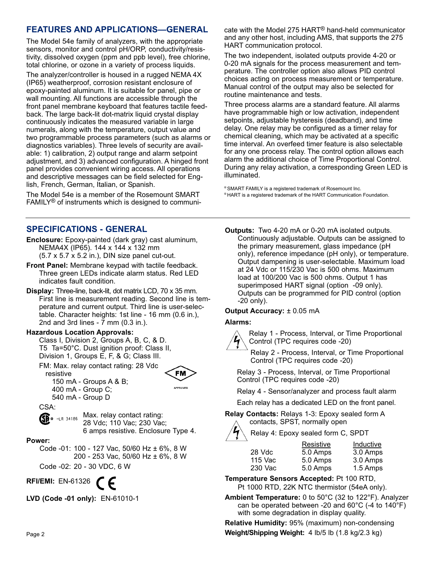## **FEATURES AND APPLICATIONS—GENERAL**

The Model 54e family of analyzers, with the appropriate sensors, monitor and control pH/ORP, conductivity/resistivity, dissolved oxygen (ppm and ppb level), free chlorine, total chlorine, or ozone in a variety of process liquids.

The analyzer/controller is housed in a rugged NEMA 4X (IP65) weatherproof, corrosion resistant enclosure of epoxy-painted aluminum. It is suitable for panel, pipe or wall mounting. All functions are accessible through the front panel membrane keyboard that features tactile feedback. The large back-lit dot-matrix liquid crystal display continuously indicates the measured variable in large numerals, along with the temperature, output value and two programmable process parameters (such as alarms or diagnostics variables). Three levels of security are available: 1) calibration, 2) output range and alarm setpoint adjustment, and 3) advanced configuration. A hinged front panel provides convenient wiring access. All operations and descriptive messages can be field selected for English, French, German, Italian, or Spanish.

The Model 54e is a member of the Rosemount SMART FAMILY® of instruments which is designed to communi-

### **SPECIFICATIONS - GENERAL**

- **Enclosure:** Epoxy-painted (dark gray) cast aluminum, NEMA4X (IP65). 144 x 144 x 132 mm (5.7 x 5.7 x 5.2 in.), DIN size panel cut-out.
- **Front Panel:** Membrane keypad with tactile feedback. Three green LEDs indicate alarm status. Red LED indicates fault condition.
- **Display:** Three-line, back-lit, dot matrix LCD, 70 x 35 mm. First line is measurement reading. Second line is temperature and current output. Third line is user-selectable. Character heights: 1st line - 16 mm (0.6 in.), 2nd and 3rd lines -  $\overline{7}$  mm (0.3 in.).

#### **Hazardous Location Approvals:**

Class I, Division 2, Groups A, B, C, & D. T5 Ta=50°C. Dust ignition proof: Class II, Division 1, Groups E, F, & G; Class III.

FM: Max. relay contact rating: 28 Vdc resistive



150 mA - Groups A & B; 400 mA - Group C; 540 mA - Group D

CSA:

Max. relay contact rating:  $\mathbb{S}\mathbb{R}$   $\bullet$  -LR 34186 28 Vdc; 110 Vac; 230 Vac; 6 amps resistive. Enclosure Type 4.

#### **Power:**

Code -01: 100 - 127 Vac, 50/60 Hz ± 6%, 8 W 200 - 253 Vac, 50/60 Hz ± 6%, 8 W

Code -02: 20 - 30 VDC, 6 W

**RFI/EMI:** EN-61326

**LVD (Code -01 only):** EN-61010-1

cate with the Model 275 HART® hand-held communicator and any other host, including AMS, that supports the 275 HART communication protocol.

The two independent, isolated outputs provide 4-20 or 0-20 mA signals for the process measurement and temperature. The controller option also allows PID control choices acting on process measurement or temperature. Manual control of the output may also be selected for routine maintenance and tests.

Three process alarms are a standard feature. All alarms have programmable high or low activation, independent setpoints, adjustable hysteresis (deadband), and time delay. One relay may be configured as a timer relay for chemical cleaning, which may be activated at a specific time interval. An overfeed timer feature is also selectable for any one process relay. The control option allows each alarm the additional choice of Time Proportional Control. During any relay activation, a corresponding Green LED is illuminated.

® SMART FAMILY is a registered trademark of Rosemount Inc. ® HART is a registered trademark of the HART Communication Foundation.

**Outputs:** Two 4-20 mA or 0-20 mA isolated outputs. Continuously adjustable. Outputs can be assigned to the primary measurement, glass impedance (pH only), reference impedance (pH only), or temperature. Output dampening is user-selectable. Maximum load at 24 Vdc or 115/230 Vac is 500 ohms. Maximum load at 100/200 Vac is 500 ohms. Output 1 has superimposed HART signal (option -09 only). Outputs can be programmed for PID control (option -20 only).

#### **Output Accuracy:** ± 0.05 mA

#### **Alarms:**



Relay 1 - Process, Interval, or Time Proportional Control (TPC requires code -20)

Relay 2 - Process, Interval, or Time Proportional Control (TPC requires code -20)

Relay 3 - Process, Interval, or Time Proportional Control (TPC requires code -20)

Relay 4 - Sensor/analyzer and process fault alarm

Each relay has a dedicated LED on the front panel.

**Relay Contacts:** Relays 1-3: Epoxy sealed form A contacts, SPST, normally open



|         | Resistive | Inductive |
|---------|-----------|-----------|
| 28 Vdc  | 5.0 Amps  | 3.0 Amps  |
| 115 Vac | 5.0 Amps  | 3.0 Amps  |
| 230 Vac | 5.0 Amps  | 1.5 Amps  |
|         |           |           |

**Temperature Sensors Accepted:** Pt 100 RTD, Pt 1000 RTD, 22K NTC thermistor (54eA only).

**Ambient Temperature:** 0 to 50°C (32 to 122°F). Analyzer can be operated between -20 and 60°C (-4 to 140°F) with some degradation in display quality.

**Relative Humidity:** 95% (maximum) non-condensing Page 2 **Weight/Shipping Weight:** 4 lb/5 lb (1.8 kg/2.3 kg)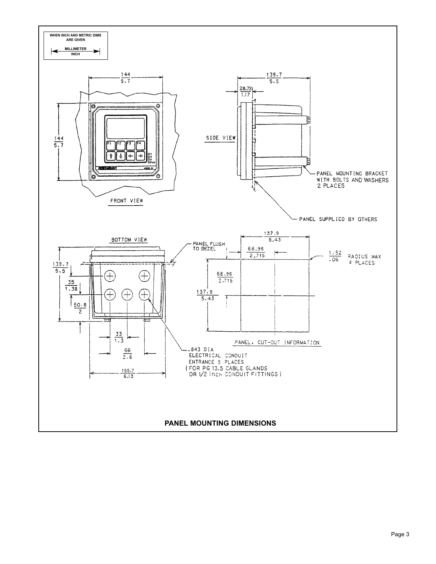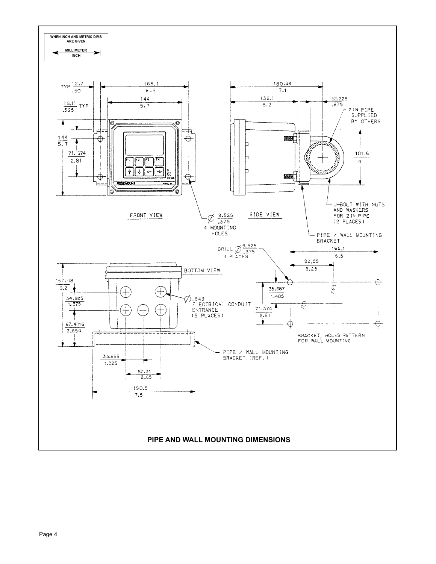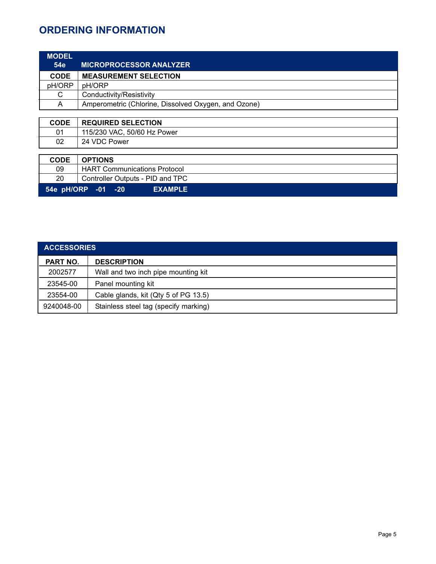# **ORDERING INFORMATION**

| <b>MODEL</b>                                   |                                                      |  |
|------------------------------------------------|------------------------------------------------------|--|
| <b>54e</b>                                     | <b>MICROPROCESSOR ANALYZER</b>                       |  |
| <b>CODE</b>                                    | <b>MEASUREMENT SELECTION</b>                         |  |
| pH/ORP                                         | pH/ORP                                               |  |
| C                                              | Conductivity/Resistivity                             |  |
| A                                              | Amperometric (Chlorine, Dissolved Oxygen, and Ozone) |  |
|                                                |                                                      |  |
| <b>CODE</b>                                    | <b>REQUIRED SELECTION</b>                            |  |
| 01                                             | 115/230 VAC, 50/60 Hz Power                          |  |
| 02                                             | 24 VDC Power                                         |  |
|                                                |                                                      |  |
| <b>CODE</b>                                    | <b>OPTIONS</b>                                       |  |
| 09                                             | <b>HART Communications Protocol</b>                  |  |
| 20                                             | Controller Outputs - PID and TPC                     |  |
| 54e pH/ORP<br><b>EXAMPLE</b><br>$-01$<br>$-20$ |                                                      |  |

| <b>ACCESSORIES</b> |                                       |  |
|--------------------|---------------------------------------|--|
| <b>PART NO.</b>    | <b>DESCRIPTION</b>                    |  |
| 2002577            | Wall and two inch pipe mounting kit   |  |
| 23545-00           | Panel mounting kit                    |  |
| 23554-00           | Cable glands, kit (Qty 5 of PG 13.5)  |  |
| 9240048-00         | Stainless steel tag (specify marking) |  |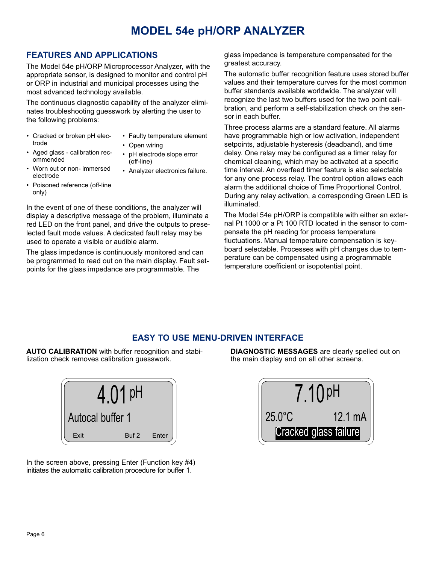# **MODEL 54e pH/ORP ANALYZER**

## **FEATURES AND APPLICATIONS**

The Model 54e pH/ORP Microprocessor Analyzer, with the appropriate sensor, is designed to monitor and control pH or ORP in industrial and municipal processes using the most advanced technology available.

The continuous diagnostic capability of the analyzer eliminates troubleshooting guesswork by alerting the user to the following problems:

- Cracked or broken pH electrode
- Faulty temperature element
- Open wiring
- Aged glass calibration recommended
- pH electrode slope error
- (off-line) • Analyzer electronics failure.
- Worn out or non- immersed electrode
- Poisoned reference (off-line only)

In the event of one of these conditions, the analyzer will display a descriptive message of the problem, illuminate a red LED on the front panel, and drive the outputs to preselected fault mode values. A dedicated fault relay may be used to operate a visible or audible alarm.

The glass impedance is continuously monitored and can be programmed to read out on the main display. Fault setpoints for the glass impedance are programmable. The

glass impedance is temperature compensated for the greatest accuracy.

The automatic buffer recognition feature uses stored buffer values and their temperature curves for the most common buffer standards available worldwide. The analyzer will recognize the last two buffers used for the two point calibration, and perform a self-stabilization check on the sensor in each buffer.

Three process alarms are a standard feature. All alarms have programmable high or low activation, independent setpoints, adjustable hysteresis (deadband), and time delay. One relay may be configured as a timer relay for chemical cleaning, which may be activated at a specific time interval. An overfeed timer feature is also selectable for any one process relay. The control option allows each alarm the additional choice of Time Proportional Control. During any relay activation, a corresponding Green LED is illuminated.

The Model 54e pH/ORP is compatible with either an external Pt 1000 or a Pt 100 RTD located in the sensor to compensate the pH reading for process temperature fluctuations. Manual temperature compensation is keyboard selectable. Processes with pH changes due to temperature can be compensated using a programmable temperature coefficient or isopotential point.

# **EASY TO USE MENU-DRIVEN INTERFACE**

**AUTO CALIBRATION** with buffer recognition and stabilization check removes calibration guesswork.



In the screen above, pressing Enter (Function key #4) initiates the automatic calibration procedure for buffer 1.

**DIAGNOSTIC MESSAGES** are clearly spelled out on the main display and on all other screens.

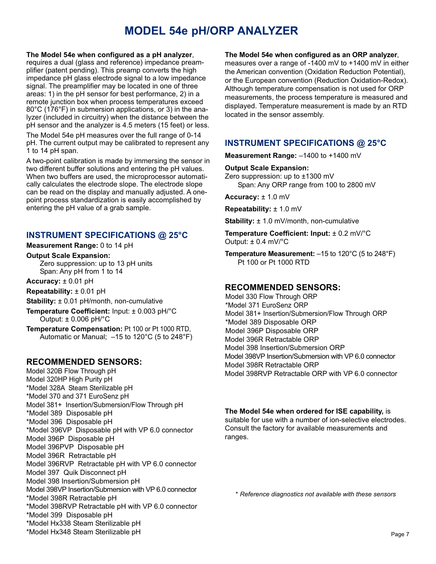# **MODEL 54e pH/ORP ANALYZER**

#### **The Model 54e when configured as a pH analyzer**,

requires a dual (glass and reference) impedance preamplifier (patent pending). This preamp converts the high impedance pH glass electrode signal to a low impedance signal. The preamplifier may be located in one of three areas: 1) in the pH sensor for best performance, 2) in a remote junction box when process temperatures exceed 80°C (176°F) in submersion applications, or 3) in the analyzer (included in circuitry) when the distance between the pH sensor and the analyzer is 4.5 meters (15 feet) or less.

The Model 54e pH measures over the full range of 0-14 pH. The current output may be calibrated to represent any 1 to 14 pH span.

A two-point calibration is made by immersing the sensor in two different buffer solutions and entering the pH values. When two buffers are used, the microprocessor automatically calculates the electrode slope. The electrode slope can be read on the display and manually adjusted. A onepoint process standardization is easily accomplished by entering the pH value of a grab sample.

## **INSTRUMENT SPECIFICATIONS @ 25°C**

#### **Measurement Range:** 0 to 14 pH

**Output Scale Expansion:**

Zero suppression: up to 13 pH units Span: Any pH from 1 to 14

**Accuracy:** ± 0.01 pH

**Repeatability:** ± 0.01 pH

**Stability:** ± 0.01 pH/month, non-cumulative

**Temperature Coefficient:** Input: ± 0.003 pH/°C Output: ± 0.006 pH/°C

**Temperature Compensation:** Pt 100 or Pt 1000 RTD, Automatic or Manual; –15 to 120°C (5 to 248°F)

### **RECOMMENDED SENSORS:**

Model 320B Flow Through pH Model 320HP High Purity pH \*Model 328A Steam Sterilizable pH \*Model 370 and 371 EuroSenz pH Model 381+ Insertion/Submersion/Flow Through pH \*Model 389 Disposable pH \*Model 396 Disposable pH \*Model 396VP Disposable pH with VP 6.0 connector Model 396P Disposable pH Model 396PVP Disposable pH Model 396R Retractable pH Model 396RVP Retractable pH with VP 6.0 connector Model 397 Quik Disconnect pH Model 398 Insertion/Submersion pH Model 398VP Insertion/Submersion with VP 6.0 connector \*Model 398R Retractable pH \*Model 398RVP Retractable pH with VP 6.0 connector \*Model 399 Disposable pH \*Model Hx338 Steam Sterilizable pH \*Model Hx348 Steam Sterilizable pH

#### **The Model 54e when configured as an ORP analyzer**,

measures over a range of -1400 mV to +1400 mV in either the American convention (Oxidation Reduction Potential), or the European convention (Reduction Oxidation-Redox). Although temperature compensation is not used for ORP measurements, the process temperature is measured and displayed. Temperature measurement is made by an RTD located in the sensor assembly.

## **INSTRUMENT SPECIFICATIONS @ 25°C**

**Measurement Range:** –1400 to +1400 mV

#### **Output Scale Expansion:**

Zero suppression: up to ±1300 mV Span: Any ORP range from 100 to 2800 mV

**Accuracy:** ± 1.0 mV

**Repeatability:** ± 1.0 mV

**Stability:**  $\pm$  1.0 mV/month, non-cumulative

**Temperature Coefficient: Input:** ± 0.2 mV/°C Output:  $\pm$  0.4 mV/ $\degree$ C

**Temperature Measurement:** –15 to 120°C (5 to 248°F) Pt 100 or Pt 1000 RTD

### **RECOMMENDED SENSORS:**

Model 330 Flow Through ORP \*Model 371 EuroSenz ORP Model 381+ Insertion/Submersion/Flow Through ORP \*Model 389 Disposable ORP Model 396P Disposable ORP Model 396R Retractable ORP Model 398 Insertion/Submersion ORP Model 398VP Insertion/Submersion with VP 6.0 connector Model 398R Retractable ORP Model 398RVP Retractable ORP with VP 6.0 connector

#### **The Model 54e when ordered for ISE capability,** is suitable for use with a number of ion-selective electrodes. Consult the factory for available measurements and ranges.

*\* Reference diagnostics not available with these sensors*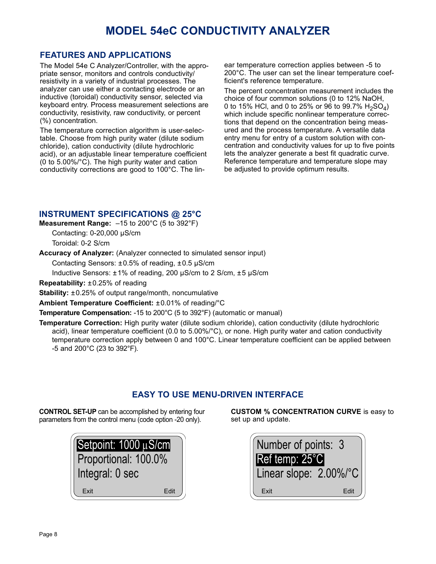# **MODEL 54eC CONDUCTIVITY ANALYZER**

### **FEATURES AND APPLICATIONS**

The Model 54e C Analyzer/Controller, with the appropriate sensor, monitors and controls conductivity/ resistivity in a variety of industrial processes. The analyzer can use either a contacting electrode or an inductive (toroidal) conductivity sensor, selected via keyboard entry. Process measurement selections are conductivity, resistivity, raw conductivity, or percent (%) concentration.

The temperature correction algorithm is user-selectable. Choose from high purity water (dilute sodium chloride), cation conductivity (dilute hydrochloric acid), or an adjustable linear temperature coefficient (0 to 5.00%/°C). The high purity water and cation conductivity corrections are good to 100°C. The linear temperature correction applies between -5 to 200°C. The user can set the linear temperature coefficient's reference temperature.

The percent concentration measurement includes the choice of four common solutions (0 to 12% NaOH, 0 to 15% HCl, and 0 to 25% or 96 to 99.7%  $H_2SO_4$ ) which include specific nonlinear temperature corrections that depend on the concentration being measured and the process temperature. A versatile data entry menu for entry of a custom solution with concentration and conductivity values for up to five points lets the analyzer generate a best fit quadratic curve. Reference temperature and temperature slope may be adjusted to provide optimum results.

## **INSTRUMENT SPECIFICATIONS @ 25°C**

**Measurement Range:** –15 to 200°C (5 to 392°F)

Contacting: 0-20,000 µS/cm Toroidal: 0-2 S/cm

**Accuracy of Analyzer:** (Analyzer connected to simulated sensor input)

Contacting Sensors: ±0.5% of reading, ±0.5 µS/cm

Inductive Sensors: ±1% of reading, 200 µS/cm to 2 S/cm, ±5 µS/cm

**Repeatability:** ±0.25% of reading

**Stability:**  $\pm 0.25\%$  of output range/month, noncumulative

**Ambient Temperature Coefficient:** ±0.01% of reading/°C

**Temperature Compensation:** -15 to 200°C (5 to 392°F) (automatic or manual)

**Temperature Correction:** High purity water (dilute sodium chloride), cation conductivity (dilute hydrochloric acid), linear temperature coefficient (0.0 to 5.00%/°C), or none. High purity water and cation conductivity temperature correction apply between 0 and 100°C. Linear temperature coefficient can be applied between -5 and 200°C (23 to 392°F).

# **EASY TO USE MENU-DRIVEN INTERFACE**

**CONTROL SET-UP** can be accomplished by entering four parameters from the control menu (code option -20 only).

| Setpoint: 1000 µS/cm |      |  |
|----------------------|------|--|
| Proportional: 100.0% |      |  |
| Integral: 0 sec      |      |  |
| Fxit                 | Fdit |  |

**CUSTOM % CONCENTRATION CURVE** is easy to set up and update.

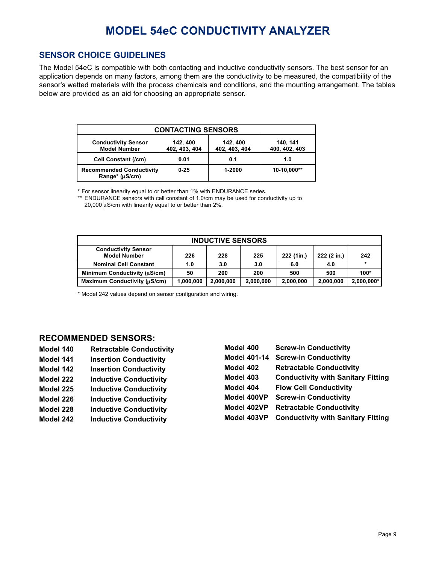# **MODEL 54eC CONDUCTIVITY ANALYZER**

## **SENSOR CHOICE GUIDELINES**

The Model 54eC is compatible with both contacting and inductive conductivity sensors. The best sensor for an application depends on many factors, among them are the conductivity to be measured, the compatibility of the sensor's wetted materials with the process chemicals and conditions, and the mounting arrangement. The tables below are provided as an aid for choosing an appropriate sensor.

| <b>CONTACTING SENSORS</b>                         |                           |                           |                           |  |
|---------------------------------------------------|---------------------------|---------------------------|---------------------------|--|
| <b>Conductivity Sensor</b><br><b>Model Number</b> | 142, 400<br>402, 403, 404 | 142, 400<br>402, 403, 404 | 140, 141<br>400, 402, 403 |  |
| <b>Cell Constant (/cm)</b>                        | 0.01                      | 0.1                       | 1.0                       |  |
| <b>Recommended Conductivity</b><br>Range* (µS/cm) | $0 - 25$                  | 1-2000                    | 10-10.000**               |  |

\* For sensor linearity equal to or better than 1% with ENDURANCE series.

\*\* ENDURANCE sensors with cell constant of 1.0/cm may be used for conductivity up to 20,000  $\mu$ S/cm with linearity equal to or better than 2%.

| <b>INDUCTIVE SENSORS</b>                          |           |           |           |            |             |            |
|---------------------------------------------------|-----------|-----------|-----------|------------|-------------|------------|
| <b>Conductivity Sensor</b><br><b>Model Number</b> | 226       | 228       | 225       | 222 (1in.) | 222 (2 in.) | 242        |
| <b>Nominal Cell Constant</b>                      | 1.0       | 3.0       | 3.0       | 6.0        | 4.0         | $\star$    |
| Minimum Conductivity (µS/cm)                      | 50        | 200       | 200       | 500        | 500         | $100*$     |
| Maximum Conductivity (µS/cm)                      | 1,000,000 | 2,000,000 | 2,000,000 | 2,000,000  | 2,000,000   | 2,000,000* |

\* Model 242 values depend on sensor configuration and wiring.

#### **RECOMMENDED SENSORS:**

- **Model 140 Retractable Conductivity Model 141 Insertion Conductivity Model 142 Insertion Conductivity Model 222 Inductive Conductivity**
- **Model 225 Inductive Conductivity**
- **Model 226 Inductive Conductivity**
- **Model 228 Inductive Conductivity**
- **Model 242 Inductive Conductivity**

| Model 400    | <b>Screw-in Conductivity</b>              |
|--------------|-------------------------------------------|
| Model 401-14 | <b>Screw-in Conductivity</b>              |
| Model 402    | <b>Retractable Conductivity</b>           |
| Model 403    | <b>Conductivity with Sanitary Fitting</b> |
| Model 404    | <b>Flow Cell Conductivity</b>             |
| Model 400VP  | <b>Screw-in Conductivity</b>              |
| Model 402VP  | <b>Retractable Conductivity</b>           |
| Model 403VP  | <b>Conductivity with Sanitary Fitting</b> |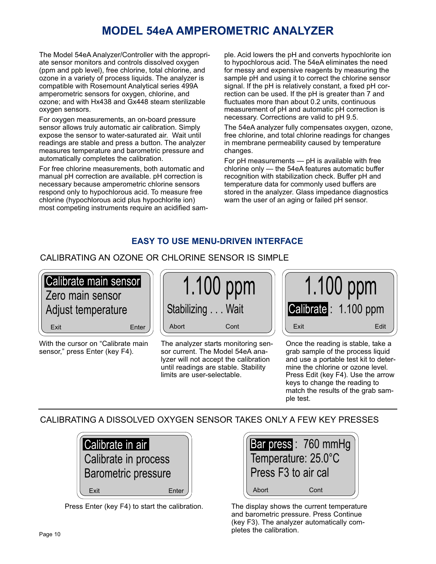# **MODEL 54eA AMPEROMETRIC ANALYZER**

The Model 54eA Analyzer/Controller with the appropriate sensor monitors and controls dissolved oxygen (ppm and ppb level), free chlorine, total chlorine, and ozone in a variety of process liquids. The analyzer is compatible with Rosemount Analytical series 499A amperometric sensors for oxygen, chlorine, and ozone; and with Hx438 and Gx448 steam sterilizable oxygen sensors.

For oxygen measurements, an on-board pressure sensor allows truly automatic air calibration. Simply expose the sensor to water-saturated air. Wait until readings are stable and press a button. The analyzer measures temperature and barometric pressure and automatically completes the calibration.

For free chlorine measurements, both automatic and manual pH correction are available. pH correction is necessary because amperometric chlorine sensors respond only to hypochlorous acid. To measure free chlorine (hypochlorous acid plus hypochlorite ion) most competing instruments require an acidified sample. Acid lowers the pH and converts hypochlorite ion to hypochlorous acid. The 54eA eliminates the need for messy and expensive reagents by measuring the sample pH and using it to correct the chlorine sensor signal. If the pH is relatively constant, a fixed pH correction can be used. If the pH is greater than 7 and fluctuates more than about 0.2 units, continuous measurement of pH and automatic pH correction is necessary. Corrections are valid to pH 9.5.

The 54eA analyzer fully compensates oxygen, ozone, free chlorine, and total chlorine readings for changes in membrane permeability caused by temperature changes.

For pH measurements — pH is available with free chlorine only — the 54eA features automatic buffer recognition with stabilization check. Buffer pH and temperature data for commonly used buffers are stored in the analyzer. Glass impedance diagnostics warn the user of an aging or failed pH sensor.

# **EASY TO USE MENU-DRIVEN INTERFACE**

# CALIBRATING AN OZONE OR CHLORINE SENSOR IS SIMPLE



With the cursor on "Calibrate main sensor," press Enter (key F4).



The analyzer starts monitoring sensor current. The Model 54eA analyzer will not accept the calibration until readings are stable. Stability limits are user-selectable.



Once the reading is stable, take a grab sample of the process liquid and use a portable test kit to determine the chlorine or ozone level. Press Edit (key F4). Use the arrow keys to change the reading to match the results of the grab sample test.

# CALIBRATING A DISSOLVED OXYGEN SENSOR TAKES ONLY A FEW KEY PRESSES



Press Enter (key F4) to start the calibration.



The display shows the current temperature and barometric pressure. Press Continue (key F3). The analyzer automatically completes the calibration.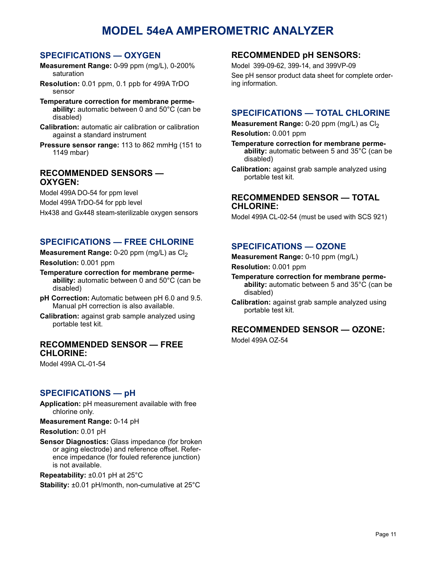# **MODEL 54eA AMPEROMETRIC ANALYZER**

#### **SPECIFICATIONS — OXYGEN**

- **Measurement Range:** 0-99 ppm (mg/L), 0-200% saturation
- **Resolution:** 0.01 ppm, 0.1 ppb for 499A TrDO sensor
- **Temperature correction for membrane permeability:** automatic between 0 and 50°C (can be disabled)
- **Calibration:** automatic air calibration or calibration against a standard instrument
- **Pressure sensor range:** 113 to 862 mmHg (151 to 1149 mbar)

#### **RECOMMENDED SENSORS — OXYGEN:**

Model 499A DO-54 for ppm level

Model 499A TrDO-54 for ppb level

Hx438 and Gx448 steam-sterilizable oxygen sensors

## **SPECIFICATIONS — FREE CHLORINE**

**Measurement Range:** 0-20 ppm (mg/L) as Cl<sub>2</sub> **Resolution:** 0.001 ppm

- **Temperature correction for membrane permeability:** automatic between 0 and 50°C (can be disabled)
- **pH Correction:** Automatic between pH 6.0 and 9.5. Manual pH correction is also available.
- **Calibration:** against grab sample analyzed using portable test kit.

#### **RECOMMENDED SENSOR — FREE CHLORINE:**

Model 499A CL-01-54

### **SPECIFICATIONS — pH**

**Application:** pH measurement available with free chlorine only.

**Measurement Range:** 0-14 pH

#### **Resolution:** 0.01 pH

**Sensor Diagnostics:** Glass impedance (for broken or aging electrode) and reference offset. Reference impedance (for fouled reference junction) is not available.

**Repeatability:** ±0.01 pH at 25°C

**Stability:** ±0.01 pH/month, non-cumulative at 25°C

#### **RECOMMENDED pH SENSORS:**

Model 399-09-62, 399-14, and 399VP-09 See pH sensor product data sheet for complete ordering information.

### **SPECIFICATIONS — TOTAL CHLORINE**

**Measurement Range:** 0-20 ppm (mg/L) as Cl<sub>2</sub> **Resolution:** 0.001 ppm

**Temperature correction for membrane permeability:** automatic between 5 and 35°C (can be disabled)

**Calibration:** against grab sample analyzed using portable test kit.

#### **RECOMMENDED SENSOR — TOTAL CHLORINE:**

Model 499A CL-02-54 (must be used with SCS 921)

### **SPECIFICATIONS — OZONE**

**Measurement Range:** 0-10 ppm (mg/L)

**Resolution:** 0.001 ppm

- **Temperature correction for membrane permeability:** automatic between 5 and 35°C (can be disabled)
- **Calibration:** against grab sample analyzed using portable test kit.

#### **RECOMMENDED SENSOR — OZONE:**

Model 499A OZ-54